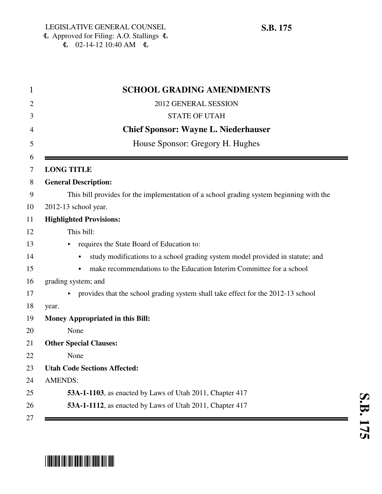| <b>SCHOOL GRADING AMENDMENTS</b>                                                           |
|--------------------------------------------------------------------------------------------|
| 2012 GENERAL SESSION                                                                       |
| <b>STATE OF UTAH</b>                                                                       |
| <b>Chief Sponsor: Wayne L. Niederhauser</b>                                                |
| House Sponsor: Gregory H. Hughes                                                           |
| <b>LONG TITLE</b>                                                                          |
| <b>General Description:</b>                                                                |
|                                                                                            |
| This bill provides for the implementation of a school grading system beginning with the    |
| 2012-13 school year.                                                                       |
| <b>Highlighted Provisions:</b>                                                             |
| This bill:                                                                                 |
| requires the State Board of Education to:                                                  |
| study modifications to a school grading system model provided in statute; and<br>$\bullet$ |
| make recommendations to the Education Interim Committee for a school                       |
| grading system; and                                                                        |
| • provides that the school grading system shall take effect for the 2012-13 school         |
| year.                                                                                      |
| Money Appropriated in this Bill:                                                           |
| None                                                                                       |
| <b>Other Special Clauses:</b>                                                              |
| None                                                                                       |
| <b>Utah Code Sections Affected:</b>                                                        |
| <b>AMENDS:</b>                                                                             |
| 53A-1-1103, as enacted by Laws of Utah 2011, Chapter 417                                   |
| 53A-1-1112, as enacted by Laws of Utah 2011, Chapter 417                                   |

## \*SB0175\*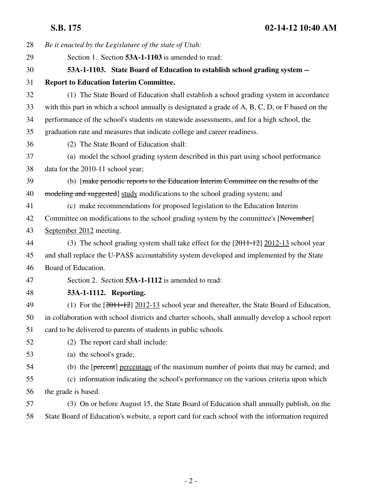**S.B. 175 02-14-12 10:40 AM**

| 28 | Be it enacted by the Legislature of the state of Utah:                                             |
|----|----------------------------------------------------------------------------------------------------|
| 29 | Section 1. Section 53A-1-1103 is amended to read:                                                  |
| 30 | 53A-1-1103. State Board of Education to establish school grading system --                         |
| 31 | <b>Report to Education Interim Committee.</b>                                                      |
| 32 | (1) The State Board of Education shall establish a school grading system in accordance             |
| 33 | with this part in which a school annually is designated a grade of A, B, C, D, or F based on the   |
| 34 | performance of the school's students on statewide assessments, and for a high school, the          |
| 35 | graduation rate and measures that indicate college and career readiness.                           |
| 36 | (2) The State Board of Education shall:                                                            |
| 37 | (a) model the school grading system described in this part using school performance                |
| 38 | data for the 2010-11 school year;                                                                  |
| 39 | (b) [make periodic reports to the Education Interim Committee on the results of the                |
| 40 | modeling and suggested] study modifications to the school grading system; and                      |
| 41 | (c) make recommendations for proposed legislation to the Education Interim                         |
| 42 | Committee on modifications to the school grading system by the committee's [November]              |
| 43 | September 2012 meeting.                                                                            |
| 44 | (3) The school grading system shall take effect for the $[2011-12]$ 2012-13 school year            |
| 45 | and shall replace the U-PASS accountability system developed and implemented by the State          |
| 46 | Board of Education.                                                                                |
| 47 | Section 2. Section 53A-1-1112 is amended to read:                                                  |
| 48 | 53A-1-1112. Reporting.                                                                             |
| 49 | (1) For the $[2011-12]$ 2012-13 school year and thereafter, the State Board of Education,          |
| 50 | in collaboration with school districts and charter schools, shall annually develop a school report |
| 51 | card to be delivered to parents of students in public schools.                                     |
| 52 | (2) The report card shall include:                                                                 |
| 53 | (a) the school's grade;                                                                            |
| 54 | (b) the [percent] percentage of the maximum number of points that may be earned; and               |
| 55 | (c) information indicating the school's performance on the various criteria upon which             |
| 56 | the grade is based.                                                                                |
| 57 | (3) On or before August 15, the State Board of Education shall annually publish, on the            |
| 58 | State Board of Education's website, a report card for each school with the information required    |